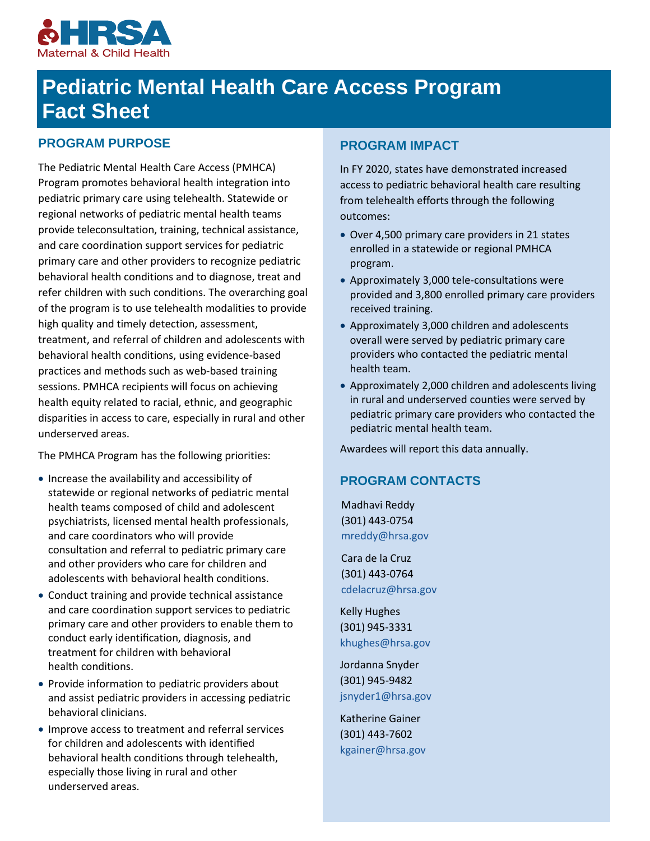

# **Pediatric Mental Health Care Access Program Fact Sheet**

## **PROGRAM PURPOSE**

The Pediatric Mental Health Care Access (PMHCA) Program promotes behavioral health integration into pediatric primary care using telehealth. Statewide or regional networks of pediatric mental health teams provide teleconsultation, training, technical assistance, and care coordination support services for pediatric primary care and other providers to recognize pediatric behavioral health conditions and to diagnose, treat and refer children with such conditions. The overarching goal of the program is to use telehealth modalities to provide high quality and timely detection, assessment, treatment, and referral of children and adolescents with behavioral health conditions, using evidence-based practices and methods such as web-based training sessions. PMHCA recipients will focus on achieving health equity related to racial, ethnic, and geographic disparities in access to care, especially in rural and other underserved areas.

The PMHCA Program has the following priorities:

- Increase the availability and accessibility of statewide or regional networks of pediatric mental health teams composed of child and adolescent psychiatrists, licensed mental health professionals, and care coordinators who will provide consultation and referral to pediatric primary care and other providers who care for children and adolescents with behavioral health conditions.
- Conduct training and provide technical assistance and care coordination support services to pediatric primary care and other providers to enable them to conduct early identification, diagnosis, and treatment for children with behavioral health conditions.
- Provide information to pediatric providers about and assist pediatric providers in accessing pediatric behavioral clinicians.
- Improve access to treatment and referral services for children and adolescents with identified behavioral health conditions through telehealth, especially those living in rural and other underserved areas.

## **PROGRAM IMPACT**

In FY 2020, states have demonstrated increased access to pediatric behavioral health care resulting from telehealth efforts through the following outcomes:

- Over 4,500 primary care providers in 21 states enrolled in a statewide or regional PMHCA program.
- Approximately 3,000 tele-consultations were provided and 3,800 enrolled primary care providers received training.
- Approximately 3,000 children and adolescents overall were served by pediatric primary care providers who contacted the pediatric mental health team.
- Approximately 2,000 children and adolescents living in rural and underserved counties were served by pediatric primary care providers who contacted the pediatric mental health team.

Awardees will report this data annually.

#### **PROGRAM CONTACTS**

Madhavi Reddy (301) 443-0754 [mreddy@hrsa.gov](mailto:mreddy@hrsa.gov)

Cara de la Cruz (301) 443-0764 [cdelacruz@hrsa.gov](mailto:cdelacruz@hrsa.gov)

Kelly Hughes (301) 945-3331 [khughes@hrsa.gov](mailto:khughes@hrsa.gov)

Jordanna Snyder (301) 945-9482 [jsnyder1@hrsa.gov](mailto:jsnyder1@hrsa.gov)

Katherine Gainer (301) 443-7602 [kgainer@hrsa.gov](mailto:kgainer@hrsa.gov)